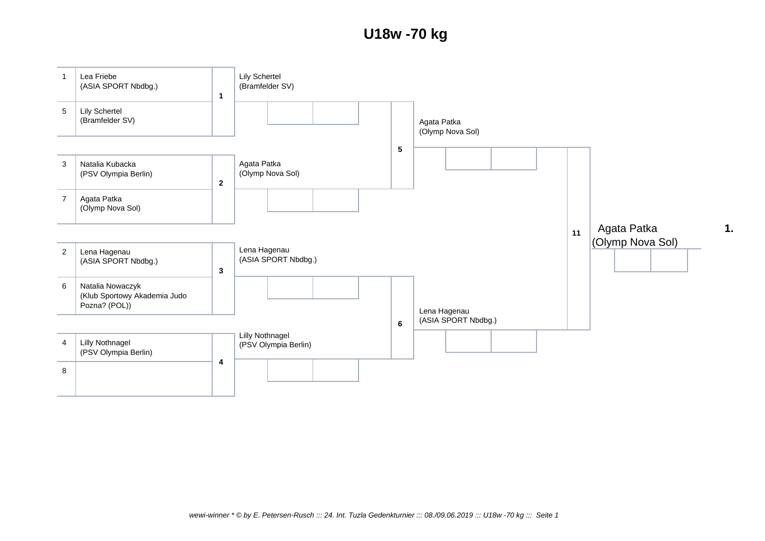## **U18w -70 kg**